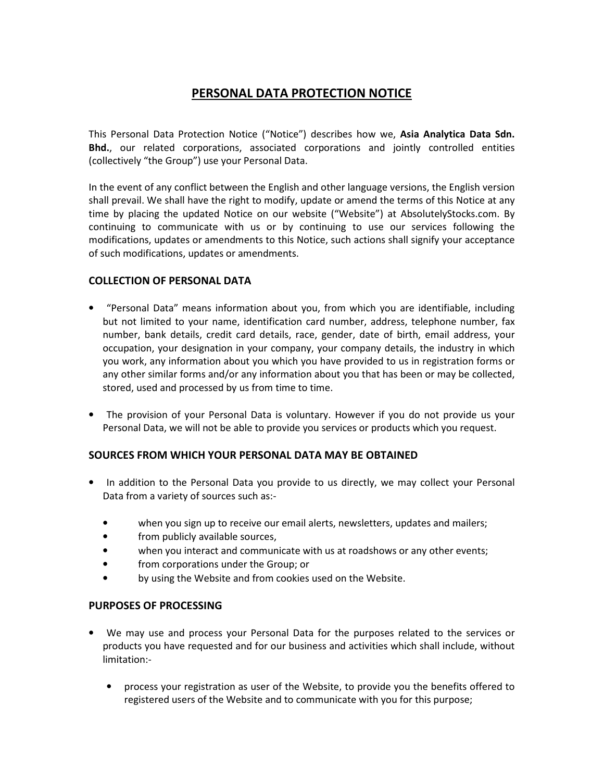# **PERSONAL DATA PROTECTION NOTICE**

This Personal Data Protection Notice ("Notice") describes how we, **Asia Analytica Data Sdn. Bhd.**, our related corporations, associated corporations and jointly controlled entities (collectively "the Group") use your Personal Data.

In the event of any conflict between the English and other language versions, the English version shall prevail. We shall have the right to modify, update or amend the terms of this Notice at any time by placing the updated Notice on our website ("Website") at AbsolutelyStocks.com. By continuing to communicate with us or by continuing to use our services following the modifications, updates or amendments to this Notice, such actions shall signify your acceptance of such modifications, updates or amendments.

## **COLLECTION OF PERSONAL DATA**

- "Personal Data" means information about you, from which you are identifiable, including but not limited to your name, identification card number, address, telephone number, fax number, bank details, credit card details, race, gender, date of birth, email address, your occupation, your designation in your company, your company details, the industry in which you work, any information about you which you have provided to us in registration forms or any other similar forms and/or any information about you that has been or may be collected, stored, used and processed by us from time to time.
- The provision of your Personal Data is voluntary. However if you do not provide us your Personal Data, we will not be able to provide you services or products which you request.

# **SOURCES FROM WHICH YOUR PERSONAL DATA MAY BE OBTAINED**

- In addition to the Personal Data you provide to us directly, we may collect your Personal Data from a variety of sources such as:-
	- when you sign up to receive our email alerts, newsletters, updates and mailers;
	- from publicly available sources,
	- when you interact and communicate with us at roadshows or any other events;
	- from corporations under the Group; or
	- by using the Website and from cookies used on the Website.

#### **PURPOSES OF PROCESSING**

- We may use and process your Personal Data for the purposes related to the services or products you have requested and for our business and activities which shall include, without limitation:-
	- process your registration as user of the Website, to provide you the benefits offered to registered users of the Website and to communicate with you for this purpose;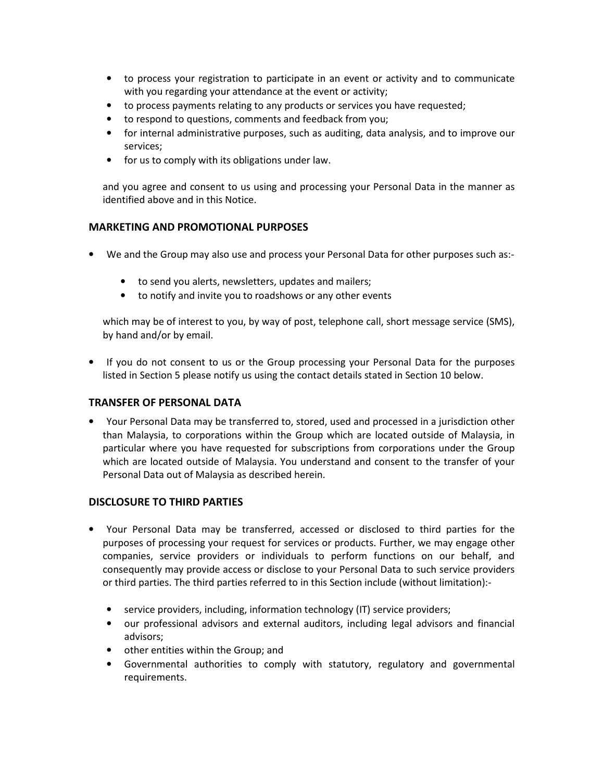- to process your registration to participate in an event or activity and to communicate with you regarding your attendance at the event or activity;
- to process payments relating to any products or services you have requested;
- to respond to questions, comments and feedback from you;
- for internal administrative purposes, such as auditing, data analysis, and to improve our services;
- for us to comply with its obligations under law.

and you agree and consent to us using and processing your Personal Data in the manner as identified above and in this Notice.

## **MARKETING AND PROMOTIONAL PURPOSES**

- We and the Group may also use and process your Personal Data for other purposes such as:-
	- to send you alerts, newsletters, updates and mailers;
	- to notify and invite you to roadshows or any other events

which may be of interest to you, by way of post, telephone call, short message service (SMS), by hand and/or by email.

• If you do not consent to us or the Group processing your Personal Data for the purposes listed in Section 5 please notify us using the contact details stated in Section 10 below.

#### **TRANSFER OF PERSONAL DATA**

• Your Personal Data may be transferred to, stored, used and processed in a jurisdiction other than Malaysia, to corporations within the Group which are located outside of Malaysia, in particular where you have requested for subscriptions from corporations under the Group which are located outside of Malaysia. You understand and consent to the transfer of your Personal Data out of Malaysia as described herein.

# **DISCLOSURE TO THIRD PARTIES**

- Your Personal Data may be transferred, accessed or disclosed to third parties for the purposes of processing your request for services or products. Further, we may engage other companies, service providers or individuals to perform functions on our behalf, and consequently may provide access or disclose to your Personal Data to such service providers or third parties. The third parties referred to in this Section include (without limitation):-
	- service providers, including, information technology (IT) service providers;
	- our professional advisors and external auditors, including legal advisors and financial advisors;
	- other entities within the Group; and
	- Governmental authorities to comply with statutory, regulatory and governmental requirements.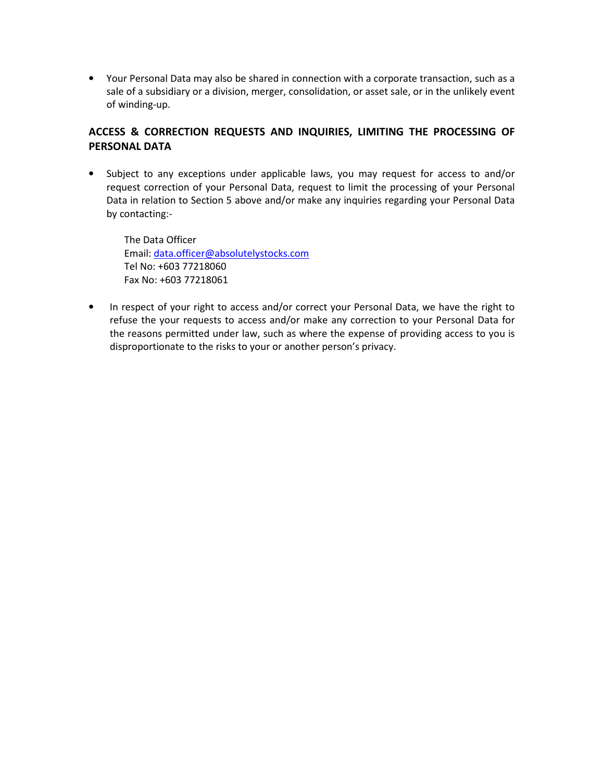• Your Personal Data may also be shared in connection with a corporate transaction, such as a sale of a subsidiary or a division, merger, consolidation, or asset sale, or in the unlikely event of winding-up.

# **ACCESS & CORRECTION REQUESTS AND INQUIRIES, LIMITING THE PROCESSING OF PERSONAL DATA**

• Subject to any exceptions under applicable laws, you may request for access to and/or request correction of your Personal Data, request to limit the processing of your Personal Data in relation to Section 5 above and/or make any inquiries regarding your Personal Data by contacting:-

The Data Officer Email: data.officer@absolutelystocks.com Tel No: +603 77218060 Fax No: +603 77218061

• In respect of your right to access and/or correct your Personal Data, we have the right to refuse the your requests to access and/or make any correction to your Personal Data for the reasons permitted under law, such as where the expense of providing access to you is disproportionate to the risks to your or another person's privacy.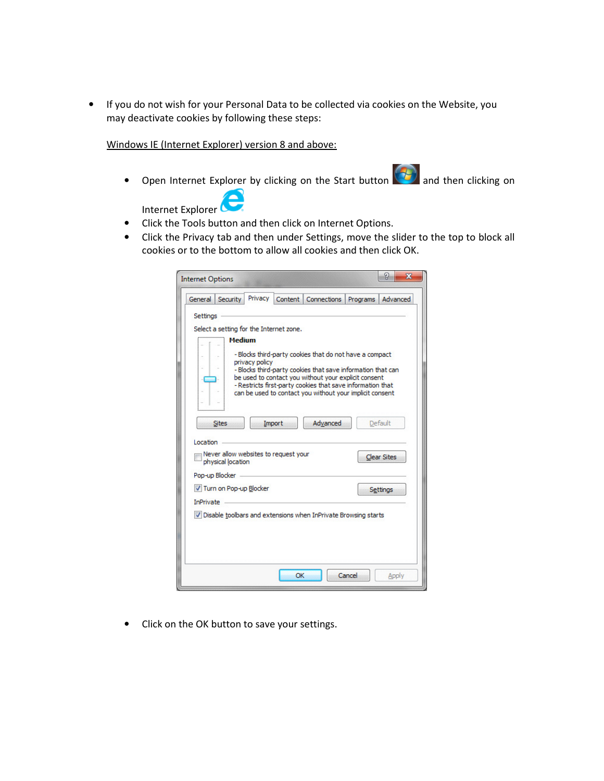• If you do not wish for your Personal Data to be collected via cookies on the Website, you may deactivate cookies by following these steps:

Windows IE (Internet Explorer) version 8 and above:

• Open Internet Explorer by clicking on the Start button  $\Box$  and then clicking on e

Internet Explorer

- Click the Tools button and then click on Internet Options.
- Click the Privacy tab and then under Settings, move the slider to the top to block all cookies or to the bottom to allow all cookies and then click OK.

| <b>Internet Options</b>                                                                                                            |                |         |                                                                                                                                                                                                                                                                                                          |          | ନ୍ମ<br>$\mathbf{x}$           |
|------------------------------------------------------------------------------------------------------------------------------------|----------------|---------|----------------------------------------------------------------------------------------------------------------------------------------------------------------------------------------------------------------------------------------------------------------------------------------------------------|----------|-------------------------------|
| <b>Security</b><br>General                                                                                                         | Privacy        | Content | Connections                                                                                                                                                                                                                                                                                              | Programs | Advanced                      |
| Settings<br>Select a setting for the Internet zone.<br><b>Medium</b>                                                               | privacy policy |         | - Blocks third-party cookies that do not have a compact<br>- Blocks third-party cookies that save information that can<br>be used to contact you without your explicit consent<br>- Restricts first-party cookies that save information that<br>can be used to contact you without your implicit consent |          |                               |
| <b>Sites</b><br>Location<br>Never allow websites to request your<br>physical location                                              | Import         |         | Advanced                                                                                                                                                                                                                                                                                                 |          | Default<br><b>Clear Sites</b> |
| Pop-up Blocker<br>V Turn on Pop-up Blocker<br><b>InPrivate</b><br>V Disable toolbars and extensions when InPrivate Browsing starts |                |         |                                                                                                                                                                                                                                                                                                          |          | Settings                      |
|                                                                                                                                    |                |         |                                                                                                                                                                                                                                                                                                          |          |                               |
|                                                                                                                                    |                | OK      |                                                                                                                                                                                                                                                                                                          | Cancel   | Apply                         |

• Click on the OK button to save your settings.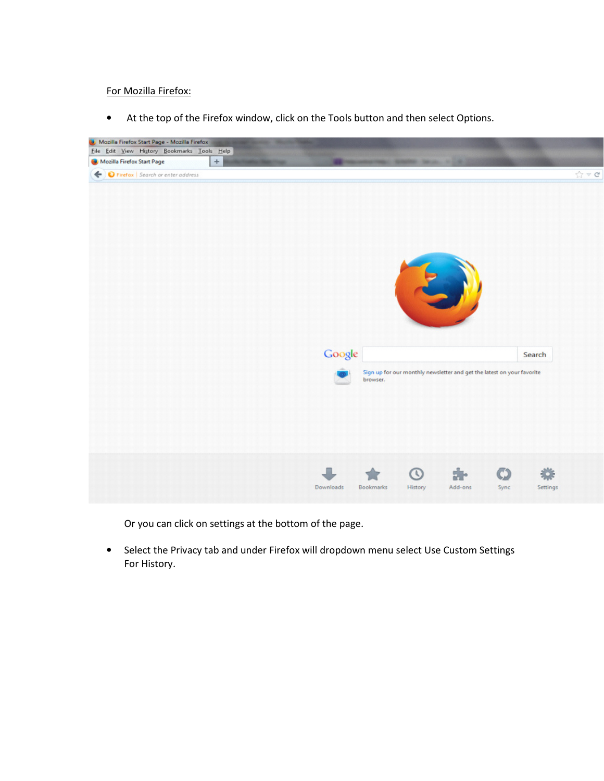For Mozilla Firefox:

• At the top of the Firefox window, click on the Tools button and then select Options.



Or you can click on settings at the bottom of the page.

• Select the Privacy tab and under Firefox will dropdown menu select Use Custom Settings For History.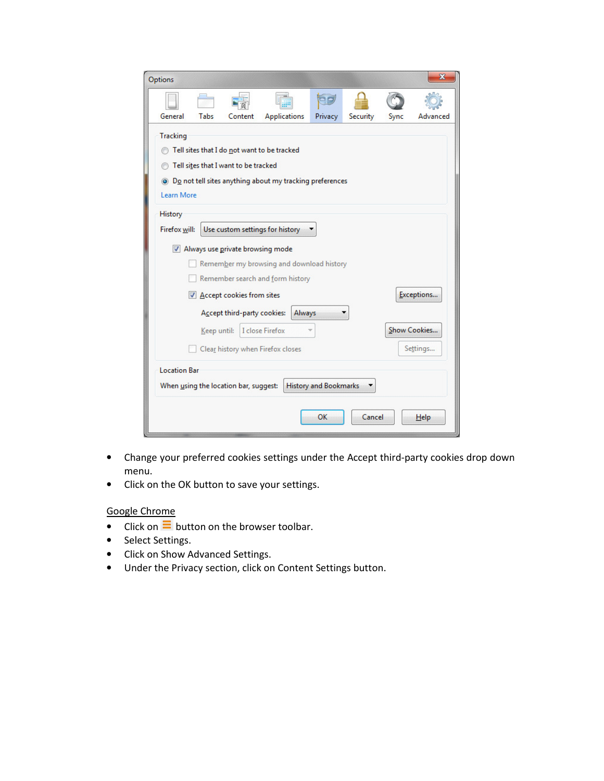| Options         |                                                                       |                                      |                                                                        |         |          |      | ×            |
|-----------------|-----------------------------------------------------------------------|--------------------------------------|------------------------------------------------------------------------|---------|----------|------|--------------|
|                 |                                                                       |                                      |                                                                        |         |          |      |              |
| General         | Tabs                                                                  | Content                              | <b>Applications</b>                                                    | Privacy | Security | Sync | Advanced     |
| <b>Tracking</b> |                                                                       |                                      | Tell sites that I do not want to be tracked                            |         |          |      |              |
|                 |                                                                       | Tell sites that I want to be tracked |                                                                        |         |          |      |              |
|                 |                                                                       |                                      | ighthropology Do not tell sites anything about my tracking preferences |         |          |      |              |
| Learn More      |                                                                       |                                      |                                                                        |         |          |      |              |
| History         |                                                                       |                                      |                                                                        |         |          |      |              |
| Firefox will:   |                                                                       |                                      | Use custom settings for history                                        |         |          |      |              |
|                 |                                                                       | V Always use private browsing mode   |                                                                        |         |          |      |              |
|                 |                                                                       |                                      | Remember my browsing and download history                              |         |          |      |              |
|                 |                                                                       |                                      | Remember search and form history                                       |         |          |      |              |
|                 |                                                                       | Accept cookies from sites            |                                                                        |         |          |      | Exceptions   |
|                 | Accept third-party cookies:<br>Always                                 |                                      |                                                                        |         |          |      |              |
|                 | Keep until:                                                           |                                      | I close Firefox                                                        |         |          |      | Show Cookies |
|                 | Settings<br>Clear history when Firefox closes                         |                                      |                                                                        |         |          |      |              |
|                 | <b>Location Bar</b>                                                   |                                      |                                                                        |         |          |      |              |
|                 | <b>History and Bookmarks</b><br>When using the location bar, suggest: |                                      |                                                                        |         |          |      |              |
|                 |                                                                       |                                      |                                                                        | OK      | Cancel   |      | Help         |

- Change your preferred cookies settings under the Accept third-party cookies drop down menu.
- Click on the OK button to save your settings.

# Google Chrome

- Click on  $\equiv$  button on the browser toolbar.
- Select Settings.
- Click on Show Advanced Settings.
- Under the Privacy section, click on Content Settings button.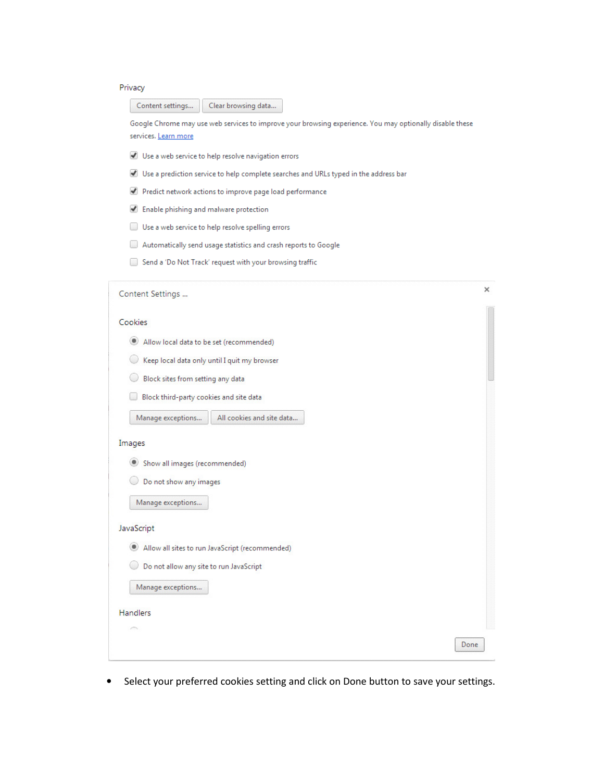#### Privacy

Clear browsing data... Content settings...

Google Chrome may use web services to improve your browsing experience. You may optionally disable these services. Learn more

- ↓ Use a web service to help resolve navigation errors
- Use a prediction service to help complete searches and URLs typed in the address bar
- Predict network actions to improve page load performance
- Enable phishing and malware protection
- Use a web service to help resolve spelling errors
- Automatically send usage statistics and crash reports to Google
- Send a 'Do Not Track' request with your browsing traffic

| Content Settings                                                                                                                                                                         | ×    |
|------------------------------------------------------------------------------------------------------------------------------------------------------------------------------------------|------|
| Cookies<br>۰<br>Allow local data to be set (recommended)<br>Keep local data only until I quit my browser<br>Block sites from setting any data<br>Block third-party cookies and site data |      |
| All cookies and site data<br>Manage exceptions                                                                                                                                           |      |
| Images<br>Show all images (recommended)<br>۰<br>Do not show any images<br>Manage exceptions<br>JavaScript                                                                                |      |
| Allow all sites to run JavaScript (recommended)<br>$\left( \blacksquare \right)$                                                                                                         |      |
| Do not allow any site to run JavaScript<br>Manage exceptions                                                                                                                             |      |
| <b>Handlers</b>                                                                                                                                                                          |      |
|                                                                                                                                                                                          | Done |

• Select your preferred cookies setting and click on Done button to save your settings.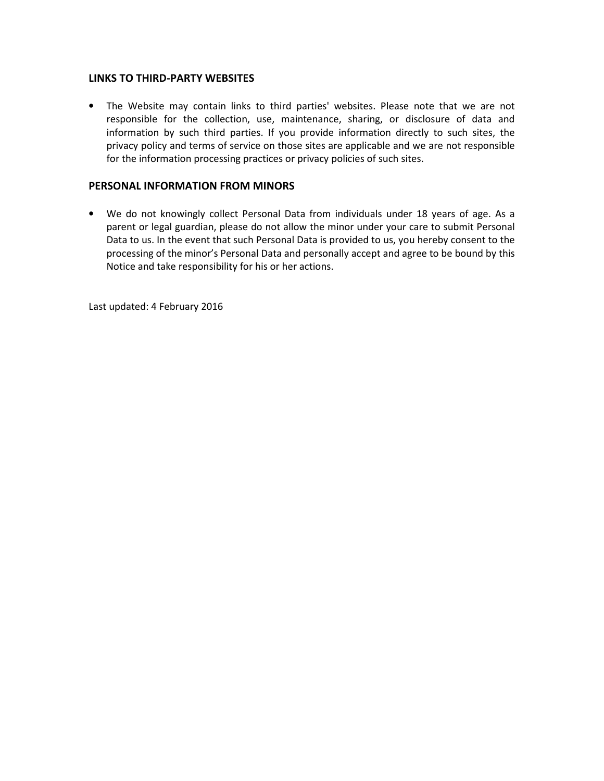#### **LINKS TO THIRD-PARTY WEBSITES**

• The Website may contain links to third parties' websites. Please note that we are not responsible for the collection, use, maintenance, sharing, or disclosure of data and information by such third parties. If you provide information directly to such sites, the privacy policy and terms of service on those sites are applicable and we are not responsible for the information processing practices or privacy policies of such sites.

# **PERSONAL INFORMATION FROM MINORS**

• We do not knowingly collect Personal Data from individuals under 18 years of age. As a parent or legal guardian, please do not allow the minor under your care to submit Personal Data to us. In the event that such Personal Data is provided to us, you hereby consent to the processing of the minor's Personal Data and personally accept and agree to be bound by this Notice and take responsibility for his or her actions.

Last updated: 4 February 2016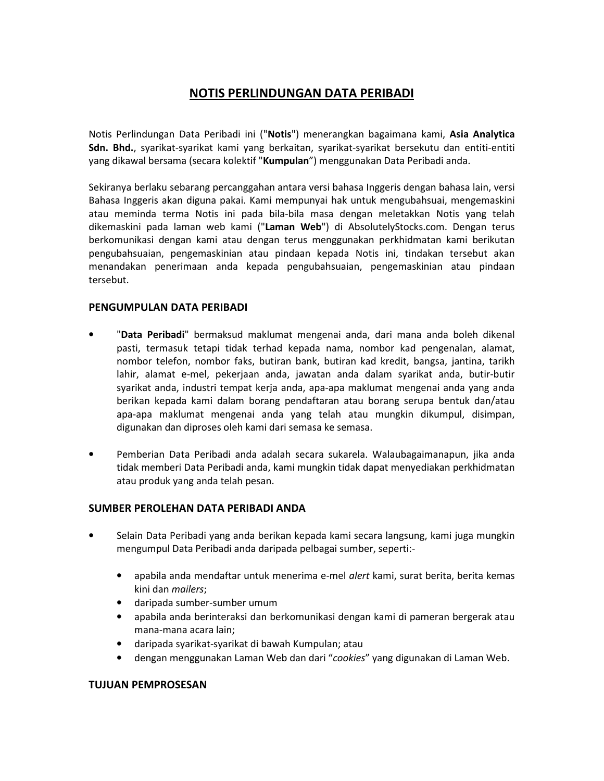# **NOTIS PERLINDUNGAN DATA PERIBADI**

Notis Perlindungan Data Peribadi ini ("**Notis**") menerangkan bagaimana kami, **Asia Analytica Sdn. Bhd.**, syarikat-syarikat kami yang berkaitan, syarikat-syarikat bersekutu dan entiti-entiti yang dikawal bersama (secara kolektif "**Kumpulan**") menggunakan Data Peribadi anda.

Sekiranya berlaku sebarang percanggahan antara versi bahasa Inggeris dengan bahasa lain, versi Bahasa Inggeris akan diguna pakai. Kami mempunyai hak untuk mengubahsuai, mengemaskini atau meminda terma Notis ini pada bila-bila masa dengan meletakkan Notis yang telah dikemaskini pada laman web kami ("**Laman Web**") di AbsolutelyStocks.com. Dengan terus berkomunikasi dengan kami atau dengan terus menggunakan perkhidmatan kami berikutan pengubahsuaian, pengemaskinian atau pindaan kepada Notis ini, tindakan tersebut akan menandakan penerimaan anda kepada pengubahsuaian, pengemaskinian atau pindaan tersebut.

## **PENGUMPULAN DATA PERIBADI**

- "**Data Peribadi**" bermaksud maklumat mengenai anda, dari mana anda boleh dikenal pasti, termasuk tetapi tidak terhad kepada nama, nombor kad pengenalan, alamat, nombor telefon, nombor faks, butiran bank, butiran kad kredit, bangsa, jantina, tarikh lahir, alamat e-mel, pekerjaan anda, jawatan anda dalam syarikat anda, butir-butir syarikat anda, industri tempat kerja anda, apa-apa maklumat mengenai anda yang anda berikan kepada kami dalam borang pendaftaran atau borang serupa bentuk dan/atau apa-apa maklumat mengenai anda yang telah atau mungkin dikumpul, disimpan, digunakan dan diproses oleh kami dari semasa ke semasa.
- Pemberian Data Peribadi anda adalah secara sukarela. Walaubagaimanapun, jika anda tidak memberi Data Peribadi anda, kami mungkin tidak dapat menyediakan perkhidmatan atau produk yang anda telah pesan.

#### **SUMBER PEROLEHAN DATA PERIBADI ANDA**

- Selain Data Peribadi yang anda berikan kepada kami secara langsung, kami juga mungkin mengumpul Data Peribadi anda daripada pelbagai sumber, seperti:-
	- apabila anda mendaftar untuk menerima e-mel *alert* kami, surat berita, berita kemas kini dan *mailers*;
	- daripada sumber-sumber umum
	- apabila anda berinteraksi dan berkomunikasi dengan kami di pameran bergerak atau mana-mana acara lain;
	- daripada syarikat-syarikat di bawah Kumpulan; atau
	- dengan menggunakan Laman Web dan dari "*cookies*" yang digunakan di Laman Web.

#### **TUJUAN PEMPROSESAN**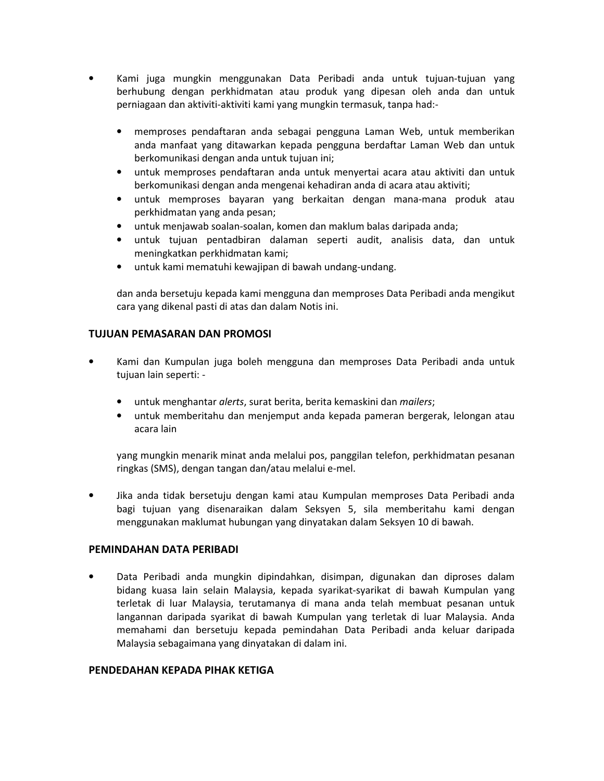- Kami juga mungkin menggunakan Data Peribadi anda untuk tujuan-tujuan yang berhubung dengan perkhidmatan atau produk yang dipesan oleh anda dan untuk perniagaan dan aktiviti-aktiviti kami yang mungkin termasuk, tanpa had:-
	- memproses pendaftaran anda sebagai pengguna Laman Web, untuk memberikan anda manfaat yang ditawarkan kepada pengguna berdaftar Laman Web dan untuk berkomunikasi dengan anda untuk tujuan ini;
	- untuk memproses pendaftaran anda untuk menyertai acara atau aktiviti dan untuk berkomunikasi dengan anda mengenai kehadiran anda di acara atau aktiviti;
	- untuk memproses bayaran yang berkaitan dengan mana-mana produk atau perkhidmatan yang anda pesan;
	- untuk menjawab soalan-soalan, komen dan maklum balas daripada anda;
	- untuk tujuan pentadbiran dalaman seperti audit, analisis data, dan untuk meningkatkan perkhidmatan kami;
	- untuk kami mematuhi kewajipan di bawah undang-undang.

dan anda bersetuju kepada kami mengguna dan memproses Data Peribadi anda mengikut cara yang dikenal pasti di atas dan dalam Notis ini.

## **TUJUAN PEMASARAN DAN PROMOSI**

- Kami dan Kumpulan juga boleh mengguna dan memproses Data Peribadi anda untuk tujuan lain seperti: -
	- untuk menghantar *alerts*, surat berita, berita kemaskini dan *mailers*;
	- untuk memberitahu dan menjemput anda kepada pameran bergerak, lelongan atau acara lain

yang mungkin menarik minat anda melalui pos, panggilan telefon, perkhidmatan pesanan ringkas (SMS), dengan tangan dan/atau melalui e-mel.

• Jika anda tidak bersetuju dengan kami atau Kumpulan memproses Data Peribadi anda bagi tujuan yang disenaraikan dalam Seksyen 5, sila memberitahu kami dengan menggunakan maklumat hubungan yang dinyatakan dalam Seksyen 10 di bawah.

#### **PEMINDAHAN DATA PERIBADI**

• Data Peribadi anda mungkin dipindahkan, disimpan, digunakan dan diproses dalam bidang kuasa lain selain Malaysia, kepada syarikat-syarikat di bawah Kumpulan yang terletak di luar Malaysia, terutamanya di mana anda telah membuat pesanan untuk langannan daripada syarikat di bawah Kumpulan yang terletak di luar Malaysia. Anda memahami dan bersetuju kepada pemindahan Data Peribadi anda keluar daripada Malaysia sebagaimana yang dinyatakan di dalam ini.

#### **PENDEDAHAN KEPADA PIHAK KETIGA**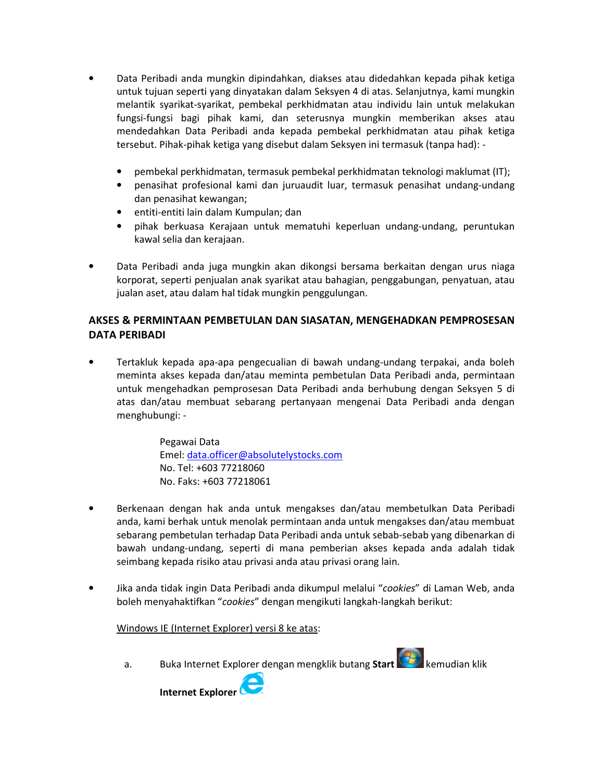- Data Peribadi anda mungkin dipindahkan, diakses atau didedahkan kepada pihak ketiga untuk tujuan seperti yang dinyatakan dalam Seksyen 4 di atas. Selanjutnya, kami mungkin melantik syarikat-syarikat, pembekal perkhidmatan atau individu lain untuk melakukan fungsi-fungsi bagi pihak kami, dan seterusnya mungkin memberikan akses atau mendedahkan Data Peribadi anda kepada pembekal perkhidmatan atau pihak ketiga tersebut. Pihak-pihak ketiga yang disebut dalam Seksyen ini termasuk (tanpa had): -
	- pembekal perkhidmatan, termasuk pembekal perkhidmatan teknologi maklumat (IT);
	- penasihat profesional kami dan juruaudit luar, termasuk penasihat undang-undang dan penasihat kewangan;
	- entiti-entiti lain dalam Kumpulan; dan
	- pihak berkuasa Kerajaan untuk mematuhi keperluan undang-undang, peruntukan kawal selia dan kerajaan.
- Data Peribadi anda juga mungkin akan dikongsi bersama berkaitan dengan urus niaga korporat, seperti penjualan anak syarikat atau bahagian, penggabungan, penyatuan, atau jualan aset, atau dalam hal tidak mungkin penggulungan.

# **AKSES & PERMINTAAN PEMBETULAN DAN SIASATAN, MENGEHADKAN PEMPROSESAN DATA PERIBADI**

• Tertakluk kepada apa-apa pengecualian di bawah undang-undang terpakai, anda boleh meminta akses kepada dan/atau meminta pembetulan Data Peribadi anda, permintaan untuk mengehadkan pemprosesan Data Peribadi anda berhubung dengan Seksyen 5 di atas dan/atau membuat sebarang pertanyaan mengenai Data Peribadi anda dengan menghubungi: -

> Pegawai Data Emel: data.officer@absolutelystocks.com No. Tel: +603 77218060 No. Faks: +603 77218061

- Berkenaan dengan hak anda untuk mengakses dan/atau membetulkan Data Peribadi anda, kami berhak untuk menolak permintaan anda untuk mengakses dan/atau membuat sebarang pembetulan terhadap Data Peribadi anda untuk sebab-sebab yang dibenarkan di bawah undang-undang, seperti di mana pemberian akses kepada anda adalah tidak seimbang kepada risiko atau privasi anda atau privasi orang lain.
- Jika anda tidak ingin Data Peribadi anda dikumpul melalui "*cookies*" di Laman Web, anda boleh menyahaktifkan "*cookies*" dengan mengikuti langkah-langkah berikut:

Windows IE (Internet Explorer) versi 8 ke atas:

a. Buka Internet Explorer dengan mengklik butang **Start** kemudian klik

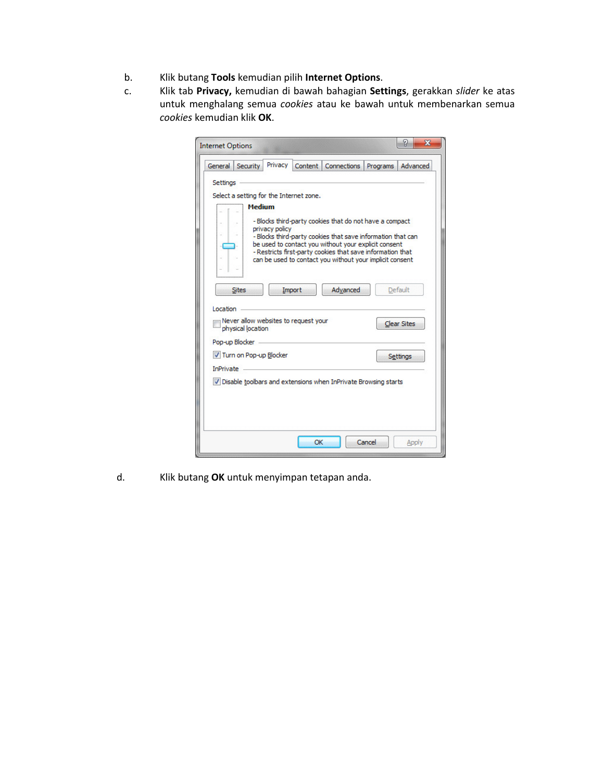- b. Klik butang **Tools** kemudian pilih **Internet Options**.
- c. Klik tab **Privacy,** kemudian di bawah bahagian **Settings**, gerakkan *slider* ke atas untuk menghalang semua *cookies* atau ke bawah untuk membenarkan semua *cookies* kemudian klik **OK**.

| <b>Internet Options</b>                                                                                                            |                |         |                                                                                                                                                                                                                                                                                                          |          | P<br>$\mathbf{x}$             |
|------------------------------------------------------------------------------------------------------------------------------------|----------------|---------|----------------------------------------------------------------------------------------------------------------------------------------------------------------------------------------------------------------------------------------------------------------------------------------------------------|----------|-------------------------------|
| <b>Security</b><br>General                                                                                                         | Privacy        | Content | <b>Connections</b>                                                                                                                                                                                                                                                                                       | Programs | Advanced                      |
| Settings<br>Select a setting for the Internet zone.<br><b>Medium</b>                                                               | privacy policy |         | - Blocks third-party cookies that do not have a compact<br>- Blocks third-party cookies that save information that can<br>be used to contact you without your explicit consent<br>- Restricts first-party cookies that save information that<br>can be used to contact you without your implicit consent |          |                               |
| <b>Sites</b><br>Location<br>Never allow websites to request your<br>physical location                                              |                | Import  | Advanced                                                                                                                                                                                                                                                                                                 |          | Default<br><b>Clear Sites</b> |
| Pop-up Blocker<br>V Turn on Pop-up Blocker<br><b>InPrivate</b><br>V Disable toolbars and extensions when InPrivate Browsing starts |                |         |                                                                                                                                                                                                                                                                                                          |          | <b>Settings</b>               |
|                                                                                                                                    |                | OK      |                                                                                                                                                                                                                                                                                                          | Cancel   | Apply                         |

d. Klik butang **OK** untuk menyimpan tetapan anda.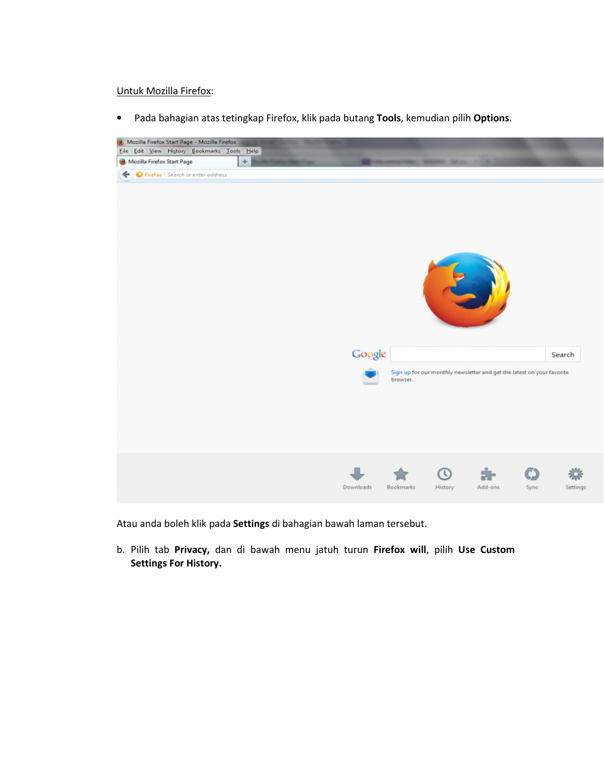#### Untuk Mozilla Firefox:

• Pada bahagian atas tetingkap Firefox, klik pada butang **Tools**, kemudian pilih **Options**.



Atau anda boleh klik pada **Settings** di bahagian bawah laman tersebut.

b. Pilih tab **Privacy,** dan di bawah menu jatuh turun **Firefox will**, pilih **Use Custom Settings For History.**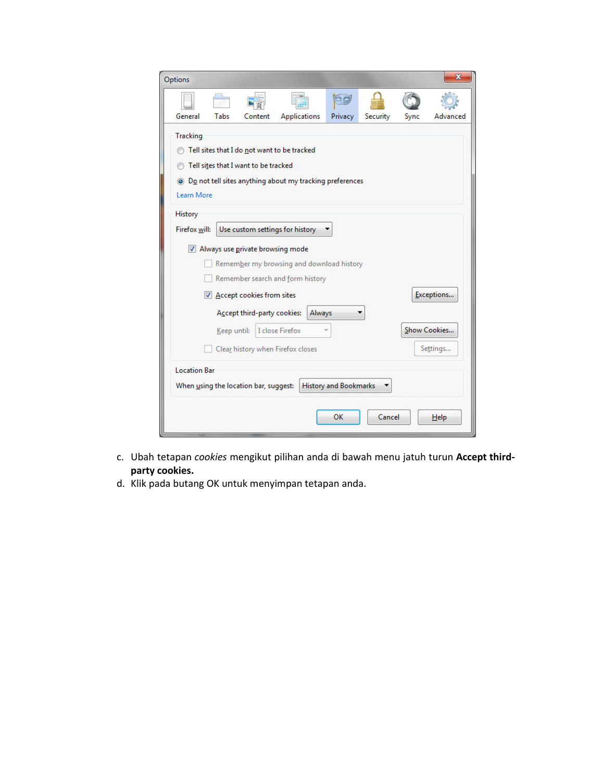| Options         |                                               |                                       |                                                                        |                              |          |      |              |
|-----------------|-----------------------------------------------|---------------------------------------|------------------------------------------------------------------------|------------------------------|----------|------|--------------|
|                 |                                               |                                       |                                                                        |                              |          |      |              |
| General         | Tabs                                          | Content                               | <b>Applications</b>                                                    | Privacy                      | Security | Sync | Advanced     |
| <b>Tracking</b> |                                               |                                       |                                                                        |                              |          |      |              |
|                 |                                               |                                       | Tell sites that I do not want to be tracked                            |                              |          |      |              |
|                 |                                               | Tell sites that I want to be tracked  |                                                                        |                              |          |      |              |
|                 |                                               |                                       | ighthropology Do not tell sites anything about my tracking preferences |                              |          |      |              |
| Learn More      |                                               |                                       |                                                                        |                              |          |      |              |
| History         |                                               |                                       |                                                                        |                              |          |      |              |
| Firefox will:   |                                               |                                       | Use custom settings for history                                        |                              |          |      |              |
|                 | V Always use private browsing mode            |                                       |                                                                        |                              |          |      |              |
|                 |                                               |                                       | Remember my browsing and download history                              |                              |          |      |              |
|                 |                                               |                                       | Remember search and form history                                       |                              |          |      |              |
|                 |                                               | Accept cookies from sites             |                                                                        |                              |          |      | Exceptions   |
|                 |                                               | Accept third-party cookies:           | Always                                                                 |                              |          |      |              |
|                 | Keep until:                                   |                                       | I close Firefox                                                        |                              |          |      | Show Cookies |
|                 | Settings<br>Clear history when Firefox closes |                                       |                                                                        |                              |          |      |              |
|                 | <b>Location Bar</b>                           |                                       |                                                                        |                              |          |      |              |
|                 |                                               | When using the location bar, suggest: |                                                                        | <b>History and Bookmarks</b> |          |      |              |
|                 |                                               |                                       |                                                                        | OK                           | Cancel   |      | Help         |

- c. Ubah tetapan *cookies* mengikut pilihan anda di bawah menu jatuh turun **Accept thirdparty cookies.**
- d. Klik pada butang OK untuk menyimpan tetapan anda.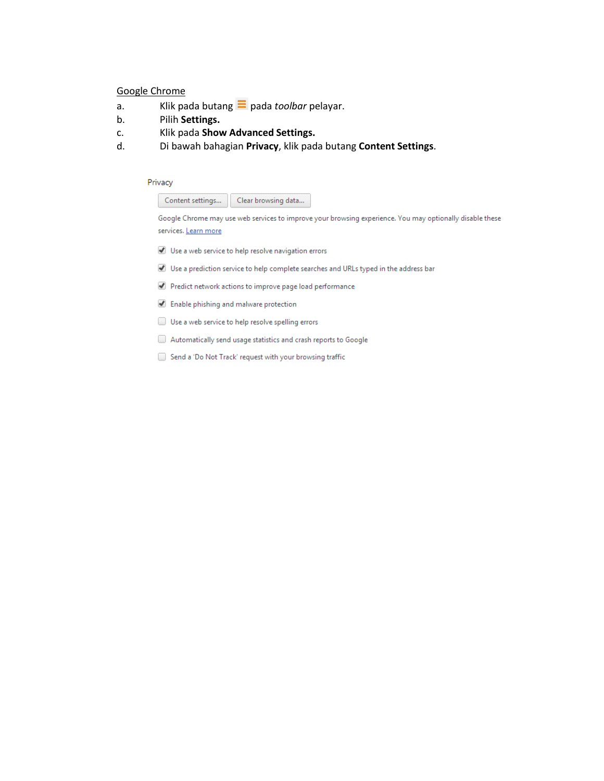#### Google Chrome

- a. Klik pada butang  $\equiv$  pada *toolbar* pelayar.
- b. Pilih **Settings.**
- c. Klik pada **Show Advanced Settings.**
- d. Di bawah bahagian **Privacy**, klik pada butang **Content Settings**.

#### Privacy

Content settings... Clear browsing data...

Google Chrome may use web services to improve your browsing experience. You may optionally disable these services. Learn more

- Use a web service to help resolve navigation errors
- Use a prediction service to help complete searches and URLs typed in the address bar
- Predict network actions to improve page load performance
- Enable phishing and malware protection
- Use a web service to help resolve spelling errors
- Automatically send usage statistics and crash reports to Google
- Send a 'Do Not Track' request with your browsing traffic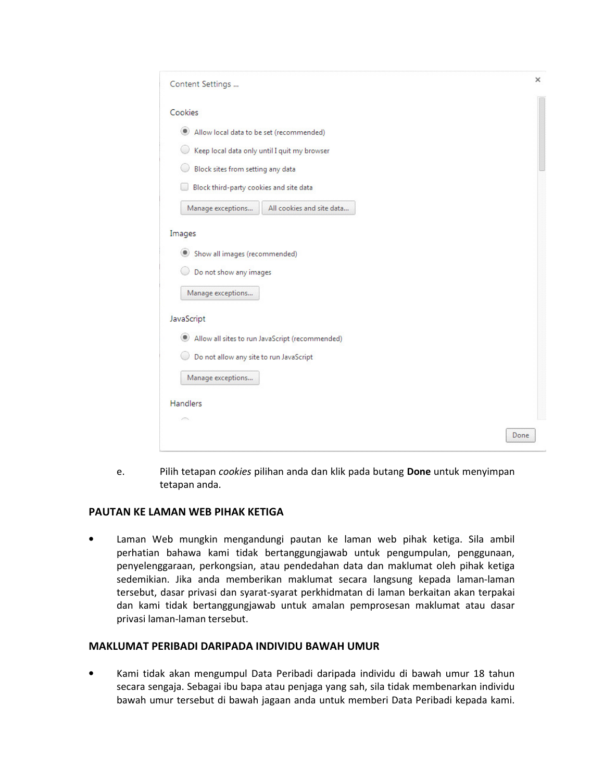| Content Settings                               |                                                 | ×    |
|------------------------------------------------|-------------------------------------------------|------|
| Cookies                                        |                                                 |      |
| Allow local data to be set (recommended)<br>۰  |                                                 |      |
|                                                | Keep local data only until I quit my browser    |      |
| Block sites from setting any data              |                                                 |      |
| Block third-party cookies and site data        |                                                 |      |
| Manage exceptions                              | All cookies and site data                       |      |
| Images                                         |                                                 |      |
| Show all images (recommended)<br>$\circledast$ |                                                 |      |
| Do not show any images                         |                                                 |      |
| Manage exceptions                              |                                                 |      |
| JavaScript                                     |                                                 |      |
| ۰                                              | Allow all sites to run JavaScript (recommended) |      |
| Do not allow any site to run JavaScript        |                                                 |      |
| Manage exceptions                              |                                                 |      |
| <b>Handlers</b>                                |                                                 |      |
|                                                |                                                 |      |
|                                                |                                                 | Done |

e. Pilih tetapan *cookies* pilihan anda dan klik pada butang **Done** untuk menyimpan tetapan anda.

# **PAUTAN KE LAMAN WEB PIHAK KETIGA**

• Laman Web mungkin mengandungi pautan ke laman web pihak ketiga. Sila ambil perhatian bahawa kami tidak bertanggungjawab untuk pengumpulan, penggunaan, penyelenggaraan, perkongsian, atau pendedahan data dan maklumat oleh pihak ketiga sedemikian. Jika anda memberikan maklumat secara langsung kepada laman-laman tersebut, dasar privasi dan syarat-syarat perkhidmatan di laman berkaitan akan terpakai dan kami tidak bertanggungjawab untuk amalan pemprosesan maklumat atau dasar privasi laman-laman tersebut.

#### **MAKLUMAT PERIBADI DARIPADA INDIVIDU BAWAH UMUR**

• Kami tidak akan mengumpul Data Peribadi daripada individu di bawah umur 18 tahun secara sengaja. Sebagai ibu bapa atau penjaga yang sah, sila tidak membenarkan individu bawah umur tersebut di bawah jagaan anda untuk memberi Data Peribadi kepada kami.